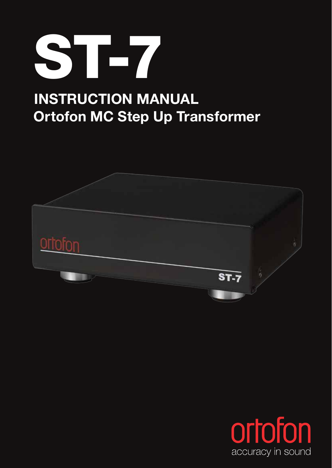

# **Ortofon MC Step Up Transformer INSTRUCTION MANUAL**



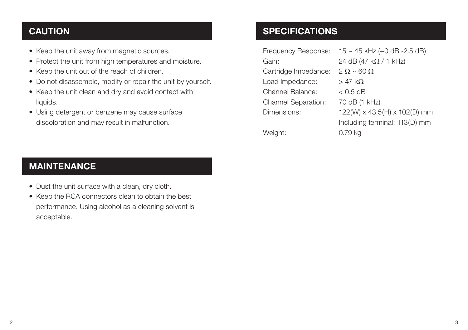#### **CAUTION**

- Keep the unit away from magnetic sources.
- Protect the unit from high temperatures and moisture.
- Keep the unit out of the reach of children.
- Do not disassemble, modify or repair the unit by yourself.
- Keep the unit clean and dry and avoid contact with liquids.
- Using detergent or benzene may cause surface discoloration and may result in malfunction.

#### **SPECIFICATIONS**

| Frequency Response:        | $15 \sim 45$ kHz (+0 dB -2.5 dB) |
|----------------------------|----------------------------------|
| Gain:                      | 24 dB (47 k $\Omega$ / 1 kHz)    |
| Cartridge Impedance:       | $2 \Omega \sim 60 \Omega$        |
| Load Impedance:            | $>$ 47 k $\Omega$                |
| Channel Balance:           | $<$ 0.5 dB                       |
| <b>Channel Separation:</b> | 70 dB (1 kHz)                    |
| Dimensions:                | 122(W) x 43.5(H) x 102(D) mm     |
|                            | Including terminal: 113(D) mm    |
| Weight:                    | 0.79 ka                          |

#### **MAINTENANCE**

- Dust the unit surface with a clean, dry cloth.
- Keep the RCA connectors clean to obtain the best performance. Using alcohol as a cleaning solvent is acceptable.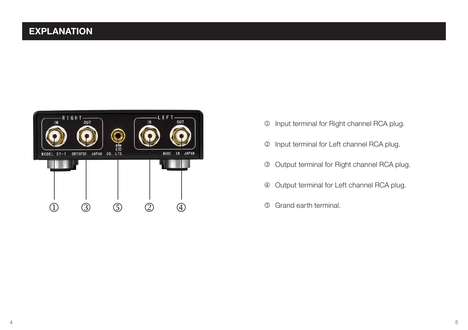### **EXPLANATION**



- $\circledR$  Input terminal for Right channel RCA plug.
- Input terminal for Left channel RCA plug.
- Output terminal for Right channel RCA plug.
- Output terminal for Left channel RCA plug.
-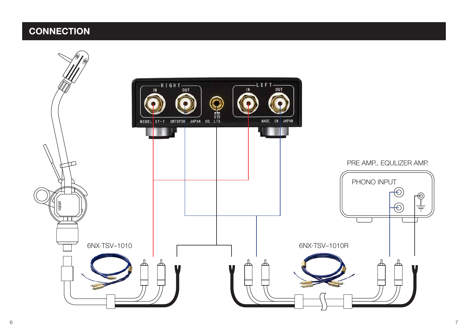## **CONNECTION**